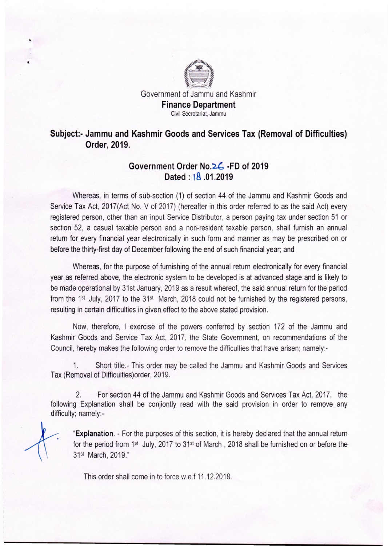

## Subject» **Jammu and Kashmir Goods and Services Tax (Removal of Difficulties)**  Order, 2019.

## Government Order No. 26 -FD of 2019 **Dated: IS .01.2019**

Whereas, in terms of sub-section (1) of section 44 of the Jammu and Kashmir Goods and Service Tax Act, 2017(Act No. V of 2017) (hereafter in this order referred to as the said Act) every registered person, other than an input Service Distributor, a person paying tax under section 51 or section 52, a casual taxable person and a non-resident taxable person, shall furnish an annual return for every financial year electronically in such form and manner as may be prescribed on or before the thirty-first day of December following the end of such financial year; and

Whereas, for the purpose of furnishing of the annual return electronically for every financial year as referred above, the electronic system to be developed is at advanced stage and is likely to be made operational by 31st January, 2019 as a result whereof, the said annual return for the period from the 1<sup>st</sup> July, 2017 to the 31<sup>st</sup> March, 2018 could not be furnished by the registered persons, resulting in certain difficulties in given effect to the above stated provision.

Now, therefore, I exercise of the powers conferred by section 172 of the Jammu and Kashmir Goods and Service Tax Act, 2017, the State Government, on recommendations of the Council, hereby makes the following order to remove the difficulties that have arisen; namely:-

1. Short title.- This order may be called the Jammu and Kashmir Goods and Services Tax (Removal of Difficulties)order, 2019.

2. For section 44 of the Jammu and Kashmir Goods and Services Tax Act, 2017, the following Explanation shall be conjiontly read with the said provision in order to remove any difficulty; namely:-

**"Explanation. -** For the purposes of this section, it is hereby declared that the annual return for the period from 1st July, 2017 to 31st of March, 2018 shall be furnished on or before the 31st March,2019."

This order shall come in to force w.e.f 11.12.2018.